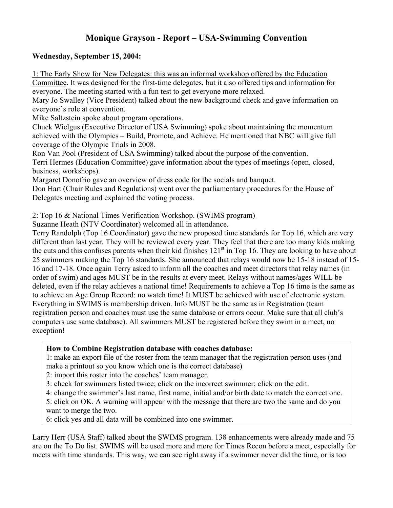# **Monique Grayson - Report – USA-Swimming Convention**

#### **Wednesday, September 15, 2004:**

1: The Early Show for New Delegates: this was an informal workshop offered by the Education Committee. It was designed for the first-time delegates, but it also offered tips and information for everyone. The meeting started with a fun test to get everyone more relaxed.

Mary Jo Swalley (Vice President) talked about the new background check and gave information on everyone's role at convention.

Mike Saltzstein spoke about program operations.

Chuck Wielgus (Executive Director of USA Swimming) spoke about maintaining the momentum achieved with the Olympics – Build, Promote, and Achieve. He mentioned that NBC will give full coverage of the Olympic Trials in 2008.

Ron Van Pool (President of USA Swimming) talked about the purpose of the convention.

Terri Hermes (Education Committee) gave information about the types of meetings (open, closed, business, workshops).

Margaret Donofrio gave an overview of dress code for the socials and banquet.

Don Hart (Chair Rules and Regulations) went over the parliamentary procedures for the House of Delegates meeting and explained the voting process.

#### 2: Top 16 & National Times Verification Workshop. (SWIMS program)

Suzanne Heath (NTV Coordinator) welcomed all in attendance.

Terry Randolph (Top 16 Coordinator) gave the new proposed time standards for Top 16, which are very different than last year. They will be reviewed every year. They feel that there are too many kids making the cuts and this confuses parents when their kid finishes  $121<sup>st</sup>$  in Top 16. They are looking to have about 25 swimmers making the Top 16 standards. She announced that relays would now be 15-18 instead of 15- 16 and 17-18. Once again Terry asked to inform all the coaches and meet directors that relay names (in order of swim) and ages MUST be in the results at every meet. Relays without names/ages WILL be deleted, even if the relay achieves a national time! Requirements to achieve a Top 16 time is the same as to achieve an Age Group Record: no watch time! It MUST be achieved with use of electronic system. Everything in SWIMS is membership driven. Info MUST be the same as in Registration (team registration person and coaches must use the same database or errors occur. Make sure that all club's computers use same database). All swimmers MUST be registered before they swim in a meet, no exception!

#### **How to Combine Registration database with coaches database:**

1: make an export file of the roster from the team manager that the registration person uses (and make a printout so you know which one is the correct database)

2: import this roster into the coaches' team manager.

3: check for swimmers listed twice; click on the incorrect swimmer; click on the edit.

4: change the swimmer's last name, first name, initial and/or birth date to match the correct one.

5: click on OK. A warning will appear with the message that there are two the same and do you want to merge the two.

6: click yes and all data will be combined into one swimmer.

Larry Herr (USA Staff) talked about the SWIMS program. 138 enhancements were already made and 75 are on the To Do list. SWIMS will be used more and more for Times Recon before a meet, especially for meets with time standards. This way, we can see right away if a swimmer never did the time, or is too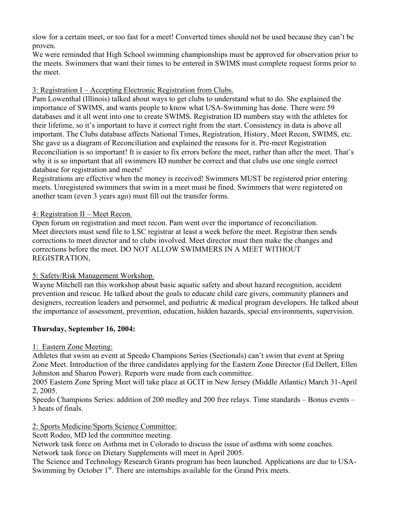slow for a certain meet, or too fast for a meet! Converted times should not be used because they can't be proven.

We were reminded that High School swimming championships must be approved for observation prior to the meets. Swimmers that want their times to be entered in SWIMS must complete request forms prior to the meet.

#### 3: Registration I – Accepting Electronic Registration from Clubs.

Pam Lowenthal (Illinois) talked about ways to get clubs to understand what to do. She explained the importance of SWIMS, and wants people to know what USA-Swimming has done. There were 59 databases and it all went into one to create SWIMS. Registration ID numbers stay with the athletes for their lifetime, so it's important to have it correct right from the start. Consistency in data is above all important. The Clubs database affects National Times, Registration, History, Meet Recon, SWIMS, etc. She gave us a diagram of Reconciliation and explained the reasons for it. Pre-meet Registration Reconciliation is so important! It is easier to fix errors before the meet, rather than after the meet. That's why it is so important that all swimmers ID number be correct and that clubs use one single correct database for registration and meets!

Registrations are effective when the money is received! Swimmers MUST be registered prior entering meets. Unregistered swimmers that swim in a meet must be fined. Swimmers that were registered on another team (even 3 years ago) must fill out the transfer forms.

#### 4: Registration II – Meet Recon.

Open forum on registration and meet recon. Pam went over the importance of reconciliation. Meet directors must send file to LSC registrar at least a week before the meet. Registrar then sends corrections to meet director and to clubs involved. Meet director must then make the changes and corrections before the meet. DO NOT ALLOW SWIMMERS IN A MEET WITHOUT REGISTRATION,

#### 5: Safety/Risk Management Workshop.

Wayne Mitchell ran this workshop about basic aquatic safety and about hazard recognition, accident prevention and rescue. He talked about the goals to educate child care givers, community planners and designers, recreation leaders and personnel, and pediatric & medical program developers. He talked about the importance of assessment, prevention, education, hidden hazards, special environments, supervision.

# **Thursday, September 16, 2004:**

#### 1: Eastern Zone Meeting:

Athletes that swim an event at Speedo Champions Series (Sectionals) can't swim that event at Spring Zone Meet. Introduction of the three candidates applying for the Eastern Zone Director (Ed Dellert, Ellen Johnston and Sharon Power). Reports were made from each committee.

2005 Eastern Zone Spring Meet will take place at GCIT in New Jersey (Middle Atlantic) March 31-April 2, 2005.

Speedo Champions Series: addition of 200 medley and 200 free relays. Time standards – Bonus events – 3 heats of finals.

# 2: Sports Medicine/Sports Science Committee:

Scott Rodeo, MD led the committee meeting.

Network task force on Asthma met in Colorado to discuss the issue of asthma with some coaches.

Network task force on Dietary Supplements will meet in April 2005.

The Science and Technology Research Grants program has been launched. Applications are due to USA-Swimming by October  $1<sup>st</sup>$ . There are internships available for the Grand Prix meets.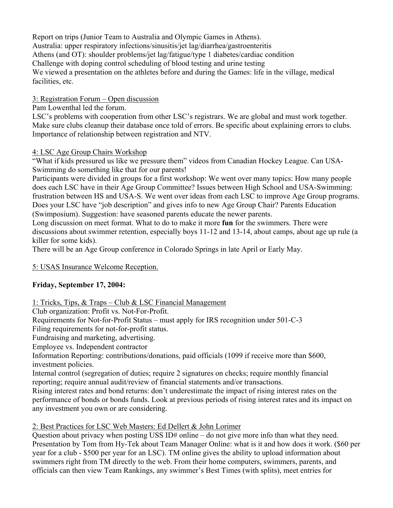Report on trips (Junior Team to Australia and Olympic Games in Athens). Australia: upper respiratory infections/sinusitis/jet lag/diarrhea/gastroenteritis Athens (and OT): shoulder problems/jet lag/fatigue/type 1 diabetes/cardiac condition Challenge with doping control scheduling of blood testing and urine testing We viewed a presentation on the athletes before and during the Games: life in the village, medical facilities, etc.

#### 3: Registration Forum – Open discussion

Pam Lowenthal led the forum.

LSC's problems with cooperation from other LSC's registrars. We are global and must work together. Make sure clubs cleanup their database once told of errors. Be specific about explaining errors to clubs. Importance of relationship between registration and NTV.

#### 4: LSC Age Group Chairs Workshop

"What if kids pressured us like we pressure them" videos from Canadian Hockey League. Can USA-Swimming do something like that for our parents!

Participants were divided in groups for a first workshop: We went over many topics: How many people does each LSC have in their Age Group Committee? Issues between High School and USA-Swimming: frustration between HS and USA-S. We went over ideas from each LSC to improve Age Group programs. Does your LSC have "job description" and gives info to new Age Group Chair? Parents Education (Swimposium). Suggestion: have seasoned parents educate the newer parents.

Long discussion on meet format. What to do to make it more **fun** for the swimmers. There were discussions about swimmer retention, especially boys 11-12 and 13-14, about camps, about age up rule (a killer for some kids).

There will be an Age Group conference in Colorado Springs in late April or Early May.

# 5: USAS Insurance Welcome Reception.

# **Friday, September 17, 2004:**

# 1: Tricks, Tips, & Traps – Club & LSC Financial Management

Club organization: Profit vs. Not-For-Profit.

Requirements for Not-for-Profit Status – must apply for IRS recognition under 501-C-3

Filing requirements for not-for-profit status.

Fundraising and marketing, advertising.

Employee vs. Independent contractor

Information Reporting: contributions/donations, paid officials (1099 if receive more than \$600, investment policies.

Internal control (segregation of duties; require 2 signatures on checks; require monthly financial reporting; require annual audit/review of financial statements and/or transactions.

Rising interest rates and bond returns: don't underestimate the impact of rising interest rates on the performance of bonds or bonds funds. Look at previous periods of rising interest rates and its impact on any investment you own or are considering.

# 2: Best Practices for LSC Web Masters: Ed Dellert & John Lorimer

Question about privacy when posting USS ID# online – do not give more info than what they need. Presentation by Tom from Hy-Tek about Team Manager Online: what is it and how does it work. (\$60 per year for a club - \$500 per year for an LSC). TM online gives the ability to upload information about swimmers right from TM directly to the web. From their home computers, swimmers, parents, and officials can then view Team Rankings, any swimmer's Best Times (with splits), meet entries for